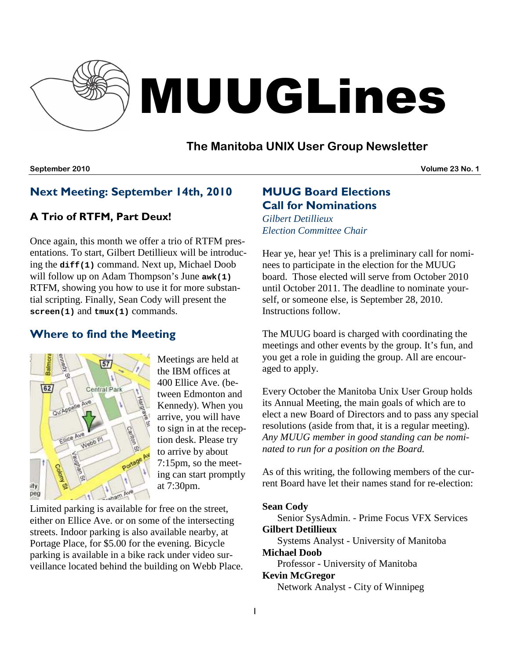

# MUUGLines

## **The Manitoba UNIX User Group Newsletter**

**September 2010 Volume 23 No. 1**

## Next Meeting: September 14th, 2010

## A Trio of RTFM, Part Deux!

Once again, this month we offer a trio of RTFM presentations. To start, Gilbert Detillieux will be introducing the **diff(1)** command. Next up, Michael Doob will follow up on Adam Thompson's June **awk(1)** RTFM, showing you how to use it for more substantial scripting. Finally, Sean Cody will present the **screen(1)** and **tmux(1)** commands.

# Where to find the Meeting



Meetings are held at the IBM offices at 400 Ellice Ave. (between Edmonton and Kennedy). When you arrive, you will have to sign in at the reception desk. Please try to arrive by about 7:15pm, so the meeting can start promptly at 7:30pm.

Limited parking is available for free on the street, either on Ellice Ave. or on some of the intersecting streets. Indoor parking is also available nearby, at Portage Place, for \$5.00 for the evening. Bicycle parking is available in a bike rack under video surveillance located behind the building on Webb Place.

# MUUG Board Elections Call for Nominations

*Gilbert Detillieux Election Committee Chair*

Hear ye, hear ye! This is a preliminary call for nominees to participate in the election for the MUUG board. Those elected will serve from October 2010 until October 2011. The deadline to nominate yourself, or someone else, is September 28, 2010. Instructions follow.

The MUUG board is charged with coordinating the meetings and other events by the group. It's fun, and you get a role in guiding the group. All are encouraged to apply.

Every October the Manitoba Unix User Group holds its Annual Meeting, the main goals of which are to elect a new Board of Directors and to pass any special resolutions (aside from that, it is a regular meeting). *Any MUUG member in good standing can be nominated to run for a position on the Board.*

As of this writing, the following members of the current Board have let their names stand for re-election:

#### **Sean Cody**

Senior SysAdmin. - Prime Focus VFX Services **Gilbert Detillieux**

Systems Analyst - University of Manitoba **Michael Doob**

Professor - University of Manitoba

#### **Kevin McGregor**

Network Analyst - City of Winnipeg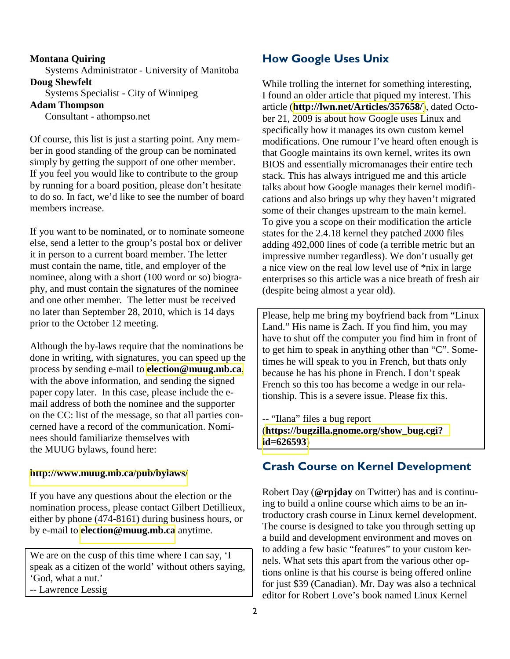#### **Montana Quiring**

Systems Administrator - University of Manitoba **Doug Shewfelt**

Systems Specialist - City of Winnipeg

#### **Adam Thompson**

Consultant - athompso.net

Of course, this list is just a starting point. Any member in good standing of the group can be nominated simply by getting the support of one other member. If you feel you would like to contribute to the group by running for a board position, please don't hesitate to do so. In fact, we'd like to see the number of board members increase.

If you want to be nominated, or to nominate someone else, send a letter to the group's postal box or deliver it in person to a current board member. The letter must contain the name, title, and employer of the nominee, along with a short (100 word or so) biography, and must contain the signatures of the nominee and one other member. The letter must be received no later than September 28, 2010, which is 14 days prior to the October 12 meeting.

Although the by-laws require that the nominations be done in writing, with signatures, you can speed up the process by sending e-mail to **[election@muug.mb.ca](mailto:election@muug.mb.ca)**, with the above information, and sending the signed paper copy later. In this case, please include the email address of both the nominee and the supporter on the CC: list of the message, so that all parties concerned have a record of the communication. Nominees should familiarize themselves with the MUUG bylaws, found here:

#### **<http://www.muug.mb.ca/pub/bylaws/>**

If you have any questions about the election or the nomination process, please contact Gilbert Detillieux, either by phone (474-8161) during business hours, or by e-mail to **[election@muug.mb.ca](mailto:election@muug.mb.ca)** anytime.

We are on the cusp of this time where I can say, 'I speak as a citizen of the world' without others saying, 'God, what a nut.'

-- Lawrence Lessig

## How Google Uses Unix

While trolling the internet for something interesting, I found an older article that piqued my interest. This article (**<http://lwn.net/Articles/357658/>**), dated October 21, 2009 is about how Google uses Linux and specifically how it manages its own custom kernel modifications. One rumour I've heard often enough is that Google maintains its own kernel, writes its own BIOS and essentially micromanages their entire tech stack. This has always intrigued me and this article talks about how Google manages their kernel modifications and also brings up why they haven't migrated some of their changes upstream to the main kernel. To give you a scope on their modification the article states for the 2.4.18 kernel they patched 2000 files adding 492,000 lines of code (a terrible metric but an impressive number regardless). We don't usually get a nice view on the real low level use of \*nix in large enterprises so this article was a nice breath of fresh air (despite being almost a year old).

Please, help me bring my boyfriend back from "Linux Land." His name is Zach. If you find him, you may have to shut off the computer you find him in front of to get him to speak in anything other than "C". Sometimes he will speak to you in French, but thats only because he has his phone in French. I don't speak French so this too has become a wedge in our relationship. This is a severe issue. Please fix this.

-- "Ilana" files a bug report (**[https://bugzilla.gnome.org/show\\_bug.cgi?](https://bugzilla.gnome.org/show_bug.cgi? id=626593)  [id=626593](https://bugzilla.gnome.org/show_bug.cgi? id=626593)**)

#### Crash Course on Kernel Development

Robert Day (**@rpjday** on Twitter) has and is continuing to build a online course which aims to be an introductory crash course in Linux kernel development. The course is designed to take you through setting up a build and development environment and moves on to adding a few basic "features" to your custom kernels. What sets this apart from the various other options online is that his course is being offered online for just \$39 (Canadian). Mr. Day was also a technical editor for Robert Love's book named Linux Kernel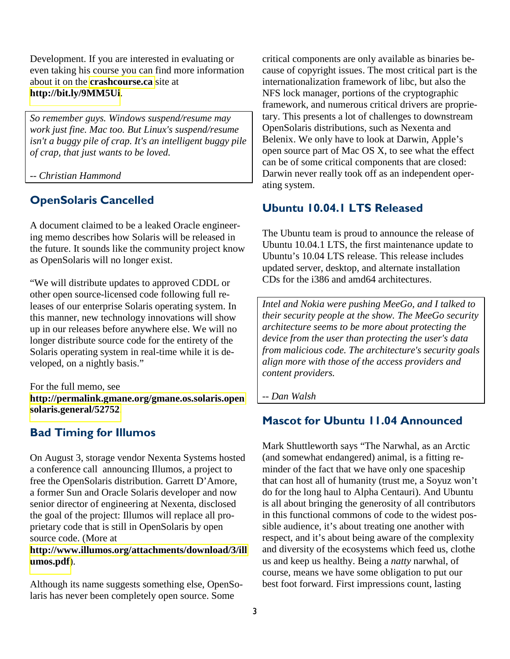Development. If you are interested in evaluating or even taking his course you can find more information about it on the **[crashcourse.ca](http://crashcourse.ca/)** site at **<http://bit.ly/9MM5Ui>**.

*So remember guys. Windows suspend/resume may work just fine. Mac too. But Linux's suspend/resume isn't a buggy pile of crap. It's an intelligent buggy pile of crap, that just wants to be loved.* 

*-- Christian Hammond* 

## OpenSolaris Cancelled

A document claimed to be a leaked Oracle engineering memo describes how Solaris will be released in the future. It sounds like the community project know as OpenSolaris will no longer exist.

"We will distribute updates to approved CDDL or other open source-licensed code following full releases of our enterprise Solaris operating system. In this manner, new technology innovations will show up in our releases before anywhere else. We will no longer distribute source code for the entirety of the Solaris operating system in real-time while it is developed, on a nightly basis."

For the full memo, see **[http://permalink.gmane.org/gmane.os.solaris.open](http://permalink.gmane.org/gmane.os.solaris.opensolaris.general/52752) [solaris.general/52752](http://permalink.gmane.org/gmane.os.solaris.opensolaris.general/52752)**.

## Bad Timing for Illumos

On August 3, storage vendor Nexenta Systems hosted a conference call announcing Illumos, a project to free the OpenSolaris distribution. Garrett D'Amore, a former Sun and Oracle Solaris developer and now senior director of engineering at Nexenta, disclosed the goal of the project: Illumos will replace all proprietary code that is still in OpenSolaris by open source code. (More at

#### **[http://www.illumos.org/attachments/download/3/ill](http://www.illumos.org/attachments/download/3/illumos.pdf) [umos.pdf](http://www.illumos.org/attachments/download/3/illumos.pdf)**).

Although its name suggests something else, OpenSolaris has never been completely open source. Some

critical components are only available as binaries because of copyright issues. The most critical part is the internationalization framework of libc, but also the NFS lock manager, portions of the cryptographic framework, and numerous critical drivers are proprietary. This presents a lot of challenges to downstream OpenSolaris distributions, such as Nexenta and Belenix. We only have to look at Darwin, Apple's open source part of Mac OS X, to see what the effect can be of some critical components that are closed: Darwin never really took off as an independent operating system.

## Ubuntu 10.04.1 LTS Released

The Ubuntu team is proud to announce the release of Ubuntu 10.04.1 LTS, the first maintenance update to Ubuntu's 10.04 LTS release. This release includes updated server, desktop, and alternate installation CDs for the i386 and amd64 architectures.

*Intel and Nokia were pushing MeeGo, and I talked to their security people at the show. The MeeGo security architecture seems to be more about protecting the device from the user than protecting the user's data from malicious code. The architecture's security goals align more with those of the access providers and content providers.* 

*-- Dan Walsh* 

## Mascot for Ubuntu 11.04 Announced

Mark Shuttleworth says "The Narwhal, as an Arctic (and somewhat endangered) animal, is a fitting reminder of the fact that we have only one spaceship that can host all of humanity (trust me, a Soyuz won't do for the long haul to Alpha Centauri). And Ubuntu is all about bringing the generosity of all contributors in this functional commons of code to the widest possible audience, it's about treating one another with respect, and it's about being aware of the complexity and diversity of the ecosystems which feed us, clothe us and keep us healthy. Being a *natty* narwhal, of course, means we have some obligation to put our best foot forward. First impressions count, lasting